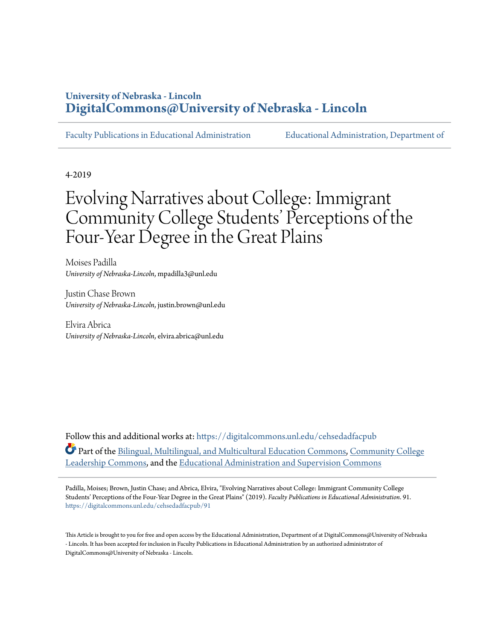# **University of Nebraska - Lincoln [DigitalCommons@University of Nebraska - Lincoln](https://digitalcommons.unl.edu?utm_source=digitalcommons.unl.edu%2Fcehsedadfacpub%2F91&utm_medium=PDF&utm_campaign=PDFCoverPages)**

[Faculty Publications in Educational Administration](https://digitalcommons.unl.edu/cehsedadfacpub?utm_source=digitalcommons.unl.edu%2Fcehsedadfacpub%2F91&utm_medium=PDF&utm_campaign=PDFCoverPages) [Educational Administration, Department of](https://digitalcommons.unl.edu/educ_admin?utm_source=digitalcommons.unl.edu%2Fcehsedadfacpub%2F91&utm_medium=PDF&utm_campaign=PDFCoverPages)

4-2019

# Evolving Narratives about College: Immigrant Community College Students' Perceptions of the Four-Year Degree in the Great Plains

Moises Padilla *University of Nebraska-Lincoln*, mpadilla3@unl.edu

Justin Chase Brown *University of Nebraska-Lincoln*, justin.brown@unl.edu

Elvira Abrica *University of Nebraska-Lincoln*, elvira.abrica@unl.edu

Follow this and additional works at: [https://digitalcommons.unl.edu/cehsedadfacpub](https://digitalcommons.unl.edu/cehsedadfacpub?utm_source=digitalcommons.unl.edu%2Fcehsedadfacpub%2F91&utm_medium=PDF&utm_campaign=PDFCoverPages) Part of the [Bilingual, Multilingual, and Multicultural Education Commons](http://network.bepress.com/hgg/discipline/785?utm_source=digitalcommons.unl.edu%2Fcehsedadfacpub%2F91&utm_medium=PDF&utm_campaign=PDFCoverPages), [Community College](http://network.bepress.com/hgg/discipline/1039?utm_source=digitalcommons.unl.edu%2Fcehsedadfacpub%2F91&utm_medium=PDF&utm_campaign=PDFCoverPages) [Leadership Commons](http://network.bepress.com/hgg/discipline/1039?utm_source=digitalcommons.unl.edu%2Fcehsedadfacpub%2F91&utm_medium=PDF&utm_campaign=PDFCoverPages), and the [Educational Administration and Supervision Commons](http://network.bepress.com/hgg/discipline/787?utm_source=digitalcommons.unl.edu%2Fcehsedadfacpub%2F91&utm_medium=PDF&utm_campaign=PDFCoverPages)

Padilla, Moises; Brown, Justin Chase; and Abrica, Elvira, "Evolving Narratives about College: Immigrant Community College Students' Perceptions of the Four-Year Degree in the Great Plains" (2019). *Faculty Publications in Educational Administration*. 91. [https://digitalcommons.unl.edu/cehsedadfacpub/91](https://digitalcommons.unl.edu/cehsedadfacpub/91?utm_source=digitalcommons.unl.edu%2Fcehsedadfacpub%2F91&utm_medium=PDF&utm_campaign=PDFCoverPages)

This Article is brought to you for free and open access by the Educational Administration, Department of at DigitalCommons@University of Nebraska - Lincoln. It has been accepted for inclusion in Faculty Publications in Educational Administration by an authorized administrator of DigitalCommons@University of Nebraska - Lincoln.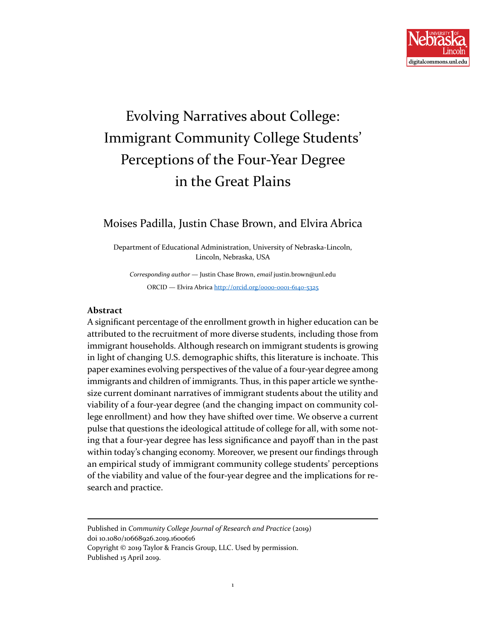

# Evolving Narratives about College: Immigrant Community College Students' Perceptions of the Four-Year Degree in the Great Plains

# Moises Padilla, Justin Chase Brown, and Elvira Abrica

Department of Educational Administration, University of Nebraska-Lincoln, Lincoln, Nebraska, USA

*Corresponding author* — Justin Chase Brown, *email* justin.brown@unl.edu ORCID — Elvira Abrica <http://orcid.org/0000-0001-6140-5325>

#### **Abstract**

A significant percentage of the enrollment growth in higher education can be attributed to the recruitment of more diverse students, including those from immigrant households. Although research on immigrant students is growing in light of changing U.S. demographic shifts, this literature is inchoate. This paper examines evolving perspectives of the value of a four-year degree among immigrants and children of immigrants. Thus, in this paper article we synthesize current dominant narratives of immigrant students about the utility and viability of a four-year degree (and the changing impact on community college enrollment) and how they have shifted over time. We observe a current pulse that questions the ideological attitude of college for all, with some noting that a four-year degree has less significance and payoff than in the past within today's changing economy. Moreover, we present our findings through an empirical study of immigrant community college students' perceptions of the viability and value of the four-year degree and the implications for research and practice.

Published in *Community College Journal of Research and Practice* (2019) doi 10.1080/10668926.2019.1600616

Copyright © 2019 Taylor & Francis Group, LLC. Used by permission. Published 15 April 2019.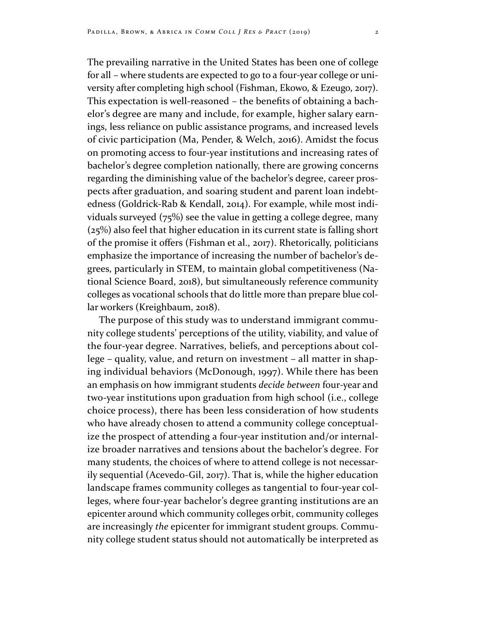The prevailing narrative in the United States has been one of college for all – where students are expected to go to a four-year college or university after completing high school (Fishman, Ekowo, & Ezeugo, 2017). This expectation is well-reasoned – the benefits of obtaining a bachelor's degree are many and include, for example, higher salary earnings, less reliance on public assistance programs, and increased levels of civic participation (Ma, Pender, & Welch, 2016). Amidst the focus on promoting access to four-year institutions and increasing rates of bachelor's degree completion nationally, there are growing concerns regarding the diminishing value of the bachelor's degree, career prospects after graduation, and soaring student and parent loan indebtedness (Goldrick-Rab & Kendall, 2014). For example, while most individuals surveyed  $(75%)$  see the value in getting a college degree, many (25%) also feel that higher education in its current state is falling short of the promise it offers (Fishman et al., 2017). Rhetorically, politicians emphasize the importance of increasing the number of bachelor's degrees, particularly in STEM, to maintain global competitiveness (National Science Board, 2018), but simultaneously reference community colleges as vocational schools that do little more than prepare blue collar workers (Kreighbaum, 2018).

The purpose of this study was to understand immigrant community college students' perceptions of the utility, viability, and value of the four-year degree. Narratives, beliefs, and perceptions about college – quality, value, and return on investment – all matter in shaping individual behaviors (McDonough, 1997). While there has been an emphasis on how immigrant students *decide between* four-year and two-year institutions upon graduation from high school (i.e., college choice process), there has been less consideration of how students who have already chosen to attend a community college conceptualize the prospect of attending a four-year institution and/or internalize broader narratives and tensions about the bachelor's degree. For many students, the choices of where to attend college is not necessarily sequential (Acevedo-Gil, 2017). That is, while the higher education landscape frames community colleges as tangential to four-year colleges, where four-year bachelor's degree granting institutions are an epicenter around which community colleges orbit, community colleges are increasingly *the* epicenter for immigrant student groups. Community college student status should not automatically be interpreted as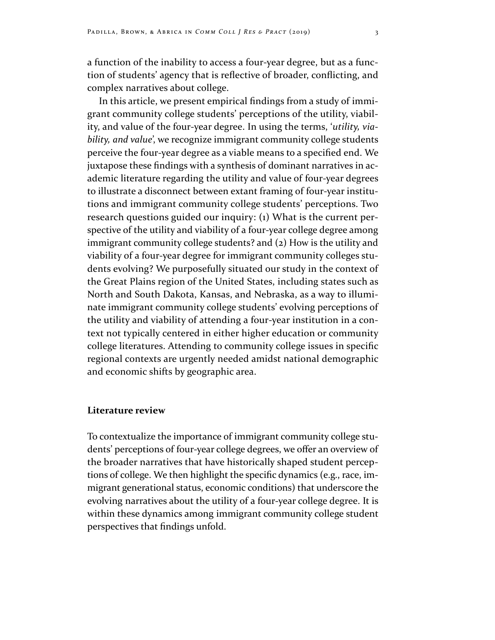a function of the inability to access a four-year degree, but as a function of students' agency that is reflective of broader, conflicting, and complex narratives about college.

In this article, we present empirical findings from a study of immigrant community college students' perceptions of the utility, viability, and value of the four-year degree. In using the terms, '*utility, viability, and value*', we recognize immigrant community college students perceive the four-year degree as a viable means to a specified end. We juxtapose these findings with a synthesis of dominant narratives in academic literature regarding the utility and value of four-year degrees to illustrate a disconnect between extant framing of four-year institutions and immigrant community college students' perceptions. Two research questions guided our inquiry: (1) What is the current perspective of the utility and viability of a four-year college degree among immigrant community college students? and (2) How is the utility and viability of a four-year degree for immigrant community colleges students evolving? We purposefully situated our study in the context of the Great Plains region of the United States, including states such as North and South Dakota, Kansas, and Nebraska, as a way to illuminate immigrant community college students' evolving perceptions of the utility and viability of attending a four-year institution in a context not typically centered in either higher education or community college literatures. Attending to community college issues in specific regional contexts are urgently needed amidst national demographic and economic shifts by geographic area.

#### **Literature review**

To contextualize the importance of immigrant community college students' perceptions of four-year college degrees, we offer an overview of the broader narratives that have historically shaped student perceptions of college. We then highlight the specific dynamics (e.g., race, immigrant generational status, economic conditions) that underscore the evolving narratives about the utility of a four-year college degree. It is within these dynamics among immigrant community college student perspectives that findings unfold.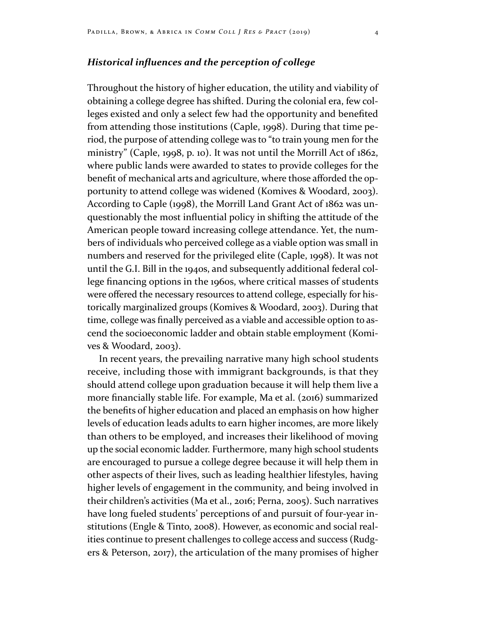#### *Historical influences and the perception of college*

Throughout the history of higher education, the utility and viability of obtaining a college degree has shifted. During the colonial era, few colleges existed and only a select few had the opportunity and benefited from attending those institutions (Caple, 1998). During that time period, the purpose of attending college was to "to train young men for the ministry" (Caple, 1998, p. 10). It was not until the Morrill Act of 1862, where public lands were awarded to states to provide colleges for the benefit of mechanical arts and agriculture, where those afforded the opportunity to attend college was widened (Komives & Woodard, 2003). According to Caple (1998), the Morrill Land Grant Act of 1862 was unquestionably the most influential policy in shifting the attitude of the American people toward increasing college attendance. Yet, the numbers of individuals who perceived college as a viable option was small in numbers and reserved for the privileged elite (Caple, 1998). It was not until the G.I. Bill in the 1940s, and subsequently additional federal college financing options in the 1960s, where critical masses of students were offered the necessary resources to attend college, especially for historically marginalized groups (Komives & Woodard, 2003). During that time, college was finally perceived as a viable and accessible option to ascend the socioeconomic ladder and obtain stable employment (Komives & Woodard, 2003).

In recent years, the prevailing narrative many high school students receive, including those with immigrant backgrounds, is that they should attend college upon graduation because it will help them live a more financially stable life. For example, Ma et al. (2016) summarized the benefits of higher education and placed an emphasis on how higher levels of education leads adults to earn higher incomes, are more likely than others to be employed, and increases their likelihood of moving up the social economic ladder. Furthermore, many high school students are encouraged to pursue a college degree because it will help them in other aspects of their lives, such as leading healthier lifestyles, having higher levels of engagement in the community, and being involved in their children's activities (Ma et al., 2016; Perna, 2005). Such narratives have long fueled students' perceptions of and pursuit of four-year institutions (Engle & Tinto, 2008). However, as economic and social realities continue to present challenges to college access and success (Rudgers & Peterson, 2017), the articulation of the many promises of higher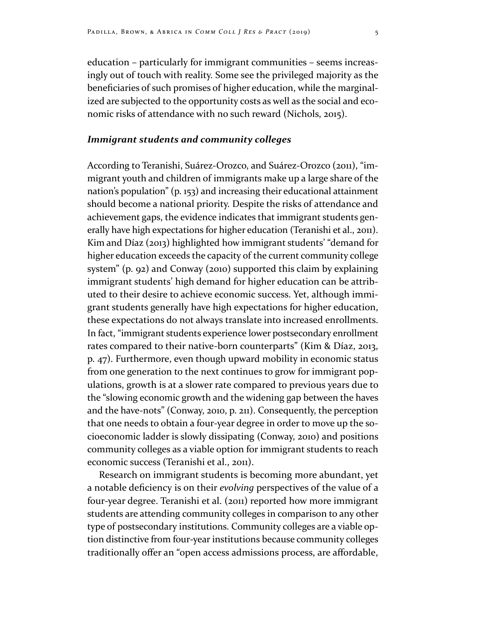education – particularly for immigrant communities – seems increasingly out of touch with reality. Some see the privileged majority as the beneficiaries of such promises of higher education, while the marginalized are subjected to the opportunity costs as well as the social and economic risks of attendance with no such reward (Nichols, 2015).

## *Immigrant students and community colleges*

According to Teranishi, Suárez-Orozco, and Suárez-Orozco (2011), "immigrant youth and children of immigrants make up a large share of the nation's population" (p. 153) and increasing their educational attainment should become a national priority. Despite the risks of attendance and achievement gaps, the evidence indicates that immigrant students generally have high expectations for higher education (Teranishi et al., 2011). Kim and Díaz (2013) highlighted how immigrant students' "demand for higher education exceeds the capacity of the current community college system" (p. 92) and Conway (2010) supported this claim by explaining immigrant students' high demand for higher education can be attributed to their desire to achieve economic success. Yet, although immigrant students generally have high expectations for higher education, these expectations do not always translate into increased enrollments. In fact, "immigrant students experience lower postsecondary enrollment rates compared to their native-born counterparts" (Kim & Díaz, 2013, p. 47). Furthermore, even though upward mobility in economic status from one generation to the next continues to grow for immigrant populations, growth is at a slower rate compared to previous years due to the "slowing economic growth and the widening gap between the haves and the have-nots" (Conway, 2010, p. 211). Consequently, the perception that one needs to obtain a four-year degree in order to move up the socioeconomic ladder is slowly dissipating (Conway, 2010) and positions community colleges as a viable option for immigrant students to reach economic success (Teranishi et al., 2011).

Research on immigrant students is becoming more abundant, yet a notable deficiency is on their *evolving* perspectives of the value of a four-year degree. Teranishi et al. (2011) reported how more immigrant students are attending community colleges in comparison to any other type of postsecondary institutions. Community colleges are a viable option distinctive from four-year institutions because community colleges traditionally offer an "open access admissions process, are affordable,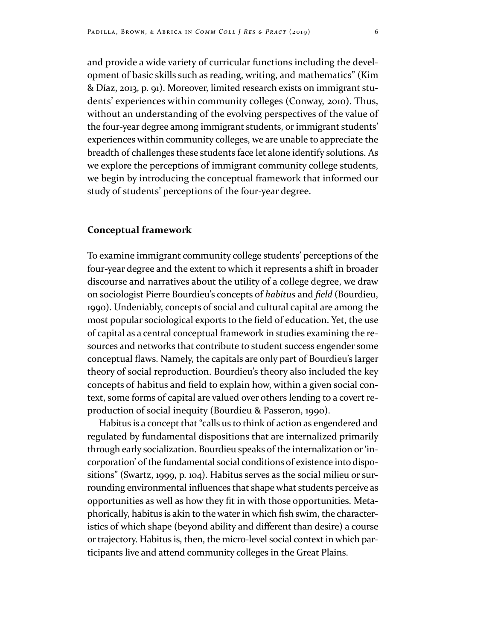and provide a wide variety of curricular functions including the development of basic skills such as reading, writing, and mathematics" (Kim & Díaz, 2013, p. 91). Moreover, limited research exists on immigrant students' experiences within community colleges (Conway, 2010). Thus, without an understanding of the evolving perspectives of the value of the four-year degree among immigrant students, or immigrant students' experiences within community colleges, we are unable to appreciate the breadth of challenges these students face let alone identify solutions. As we explore the perceptions of immigrant community college students, we begin by introducing the conceptual framework that informed our study of students' perceptions of the four-year degree.

#### **Conceptual framework**

To examine immigrant community college students' perceptions of the four-year degree and the extent to which it represents a shift in broader discourse and narratives about the utility of a college degree, we draw on sociologist Pierre Bourdieu's concepts of *habitus* and *field* (Bourdieu, 1990). Undeniably, concepts of social and cultural capital are among the most popular sociological exports to the field of education. Yet, the use of capital as a central conceptual framework in studies examining the resources and networks that contribute to student success engender some conceptual flaws. Namely, the capitals are only part of Bourdieu's larger theory of social reproduction. Bourdieu's theory also included the key concepts of habitus and field to explain how, within a given social context, some forms of capital are valued over others lending to a covert reproduction of social inequity (Bourdieu & Passeron, 1990).

Habitus is a concept that "calls us to think of action as engendered and regulated by fundamental dispositions that are internalized primarily through early socialization. Bourdieu speaks of the internalization or 'incorporation' of the fundamental social conditions of existence into dispositions" (Swartz, 1999, p. 104). Habitus serves as the social milieu or surrounding environmental influences that shape what students perceive as opportunities as well as how they fit in with those opportunities. Metaphorically, habitus is akin to the water in which fish swim, the characteristics of which shape (beyond ability and different than desire) a course or trajectory. Habitus is, then, the micro-level social context in which participants live and attend community colleges in the Great Plains.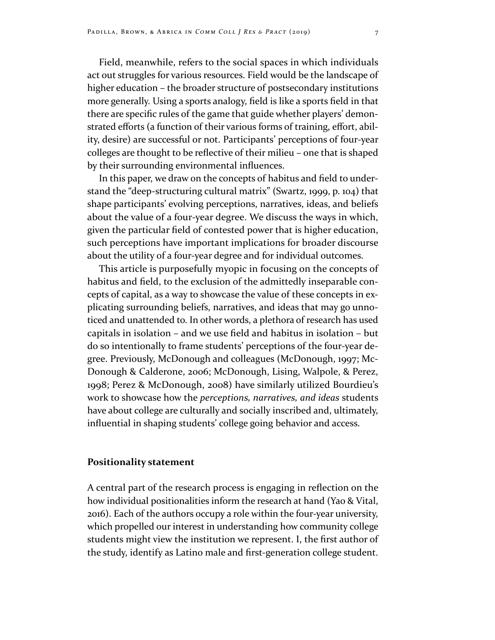Field, meanwhile, refers to the social spaces in which individuals act out struggles for various resources. Field would be the landscape of higher education – the broader structure of postsecondary institutions more generally. Using a sports analogy, field is like a sports field in that there are specific rules of the game that guide whether players' demonstrated efforts (a function of their various forms of training, effort, ability, desire) are successful or not. Participants' perceptions of four-year colleges are thought to be reflective of their milieu – one that is shaped by their surrounding environmental influences.

In this paper, we draw on the concepts of habitus and field to understand the "deep-structuring cultural matrix" (Swartz, 1999, p. 104) that shape participants' evolving perceptions, narratives, ideas, and beliefs about the value of a four-year degree. We discuss the ways in which, given the particular field of contested power that is higher education, such perceptions have important implications for broader discourse about the utility of a four-year degree and for individual outcomes.

This article is purposefully myopic in focusing on the concepts of habitus and field, to the exclusion of the admittedly inseparable concepts of capital, as a way to showcase the value of these concepts in explicating surrounding beliefs, narratives, and ideas that may go unnoticed and unattended to. In other words, a plethora of research has used capitals in isolation – and we use field and habitus in isolation – but do so intentionally to frame students' perceptions of the four-year degree. Previously, McDonough and colleagues (McDonough, 1997; Mc-Donough & Calderone, 2006; McDonough, Lising, Walpole, & Perez, 1998; Perez & McDonough, 2008) have similarly utilized Bourdieu's work to showcase how the *perceptions, narratives, and ideas* students have about college are culturally and socially inscribed and, ultimately, influential in shaping students' college going behavior and access.

#### **Positionality statement**

A central part of the research process is engaging in reflection on the how individual positionalities inform the research at hand (Yao & Vital, 2016). Each of the authors occupy a role within the four-year university, which propelled our interest in understanding how community college students might view the institution we represent. I, the first author of the study, identify as Latino male and first-generation college student.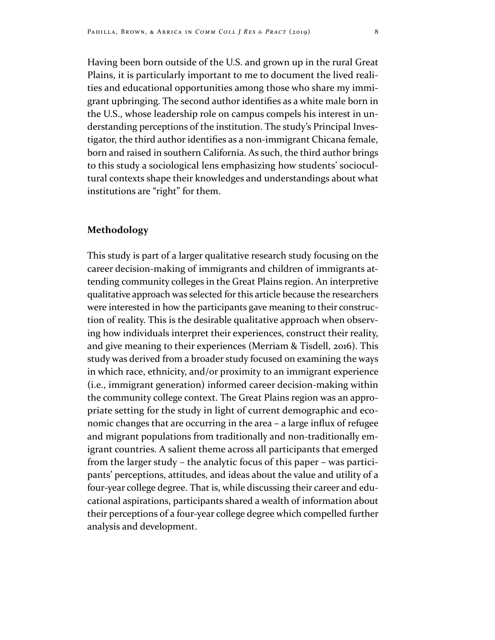Having been born outside of the U.S. and grown up in the rural Great Plains, it is particularly important to me to document the lived realities and educational opportunities among those who share my immigrant upbringing. The second author identifies as a white male born in the U.S., whose leadership role on campus compels his interest in understanding perceptions of the institution. The study's Principal Investigator, the third author identifies as a non-immigrant Chicana female, born and raised in southern California. As such, the third author brings to this study a sociological lens emphasizing how students' sociocultural contexts shape their knowledges and understandings about what institutions are "right" for them.

#### **Methodology**

This study is part of a larger qualitative research study focusing on the career decision-making of immigrants and children of immigrants attending community colleges in the Great Plains region. An interpretive qualitative approach was selected for this article because the researchers were interested in how the participants gave meaning to their construction of reality. This is the desirable qualitative approach when observing how individuals interpret their experiences, construct their reality, and give meaning to their experiences (Merriam & Tisdell, 2016). This study was derived from a broader study focused on examining the ways in which race, ethnicity, and/or proximity to an immigrant experience (i.e., immigrant generation) informed career decision-making within the community college context. The Great Plains region was an appropriate setting for the study in light of current demographic and economic changes that are occurring in the area – a large influx of refugee and migrant populations from traditionally and non-traditionally emigrant countries. A salient theme across all participants that emerged from the larger study – the analytic focus of this paper – was participants' perceptions, attitudes, and ideas about the value and utility of a four-year college degree. That is, while discussing their career and educational aspirations, participants shared a wealth of information about their perceptions of a four-year college degree which compelled further analysis and development.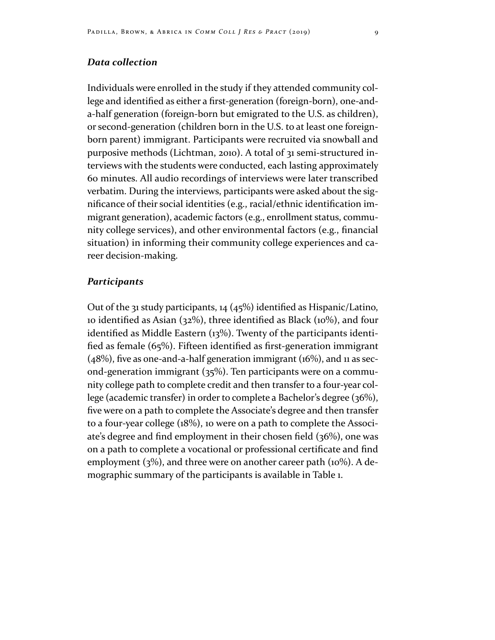## *Data collection*

Individuals were enrolled in the study if they attended community college and identified as either a first-generation (foreign-born), one-anda-half generation (foreign-born but emigrated to the U.S. as children), or second-generation (children born in the U.S. to at least one foreignborn parent) immigrant. Participants were recruited via snowball and purposive methods (Lichtman, 2010). A total of 31 semi-structured interviews with the students were conducted, each lasting approximately 60 minutes. All audio recordings of interviews were later transcribed verbatim. During the interviews, participants were asked about the significance of their social identities (e.g., racial/ethnic identification immigrant generation), academic factors (e.g., enrollment status, community college services), and other environmental factors (e.g., financial situation) in informing their community college experiences and career decision-making.

#### *Participants*

Out of the 31 study participants, 14 (45%) identified as Hispanic/Latino, 10 identified as Asian (32%), three identified as Black (10%), and four identified as Middle Eastern (13%). Twenty of the participants identified as female (65%). Fifteen identified as first-generation immigrant  $(48%)$ , five as one-and-a-half generation immigrant  $(16%)$ , and 11 as second-generation immigrant (35%). Ten participants were on a community college path to complete credit and then transfer to a four-year college (academic transfer) in order to complete a Bachelor's degree (36%), five were on a path to complete the Associate's degree and then transfer to a four-year college (18%), 10 were on a path to complete the Associate's degree and find employment in their chosen field (36%), one was on a path to complete a vocational or professional certificate and find employment  $(3\%)$ , and three were on another career path  $(10\%)$ . A demographic summary of the participants is available in Table 1.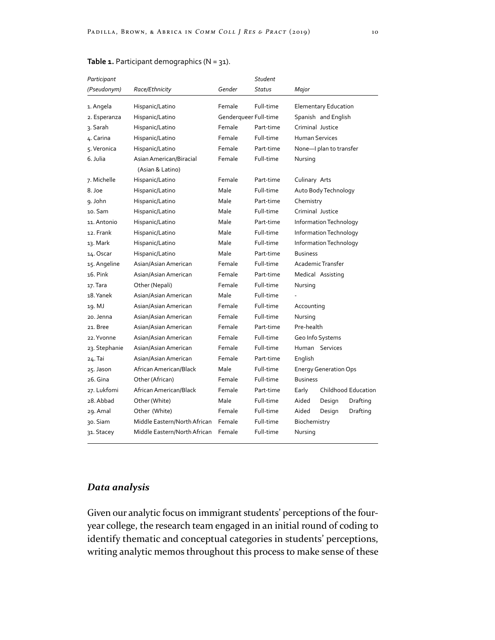| Participant      |                              |                       | <b>Student</b> |                              |                      |                     |
|------------------|------------------------------|-----------------------|----------------|------------------------------|----------------------|---------------------|
| (Pseudonym)      | Race/Ethnicity               | Gender                | <b>Status</b>  | Major                        |                      |                     |
| 1. Angela        | Hispanic/Latino              | Female                | Full-time      |                              | Elementary Education |                     |
| 2. Esperanza     | Hispanic/Latino              | Genderqueer Full-time |                | Spanish and English          |                      |                     |
| ้ว. Sarah        | Hispanic/Latino              | Female                | Part-time      | Criminal Justice             |                      |                     |
| 4. Carina        | Hispanic/Latino              | Female                | Full-time      | <b>Human Services</b>        |                      |                     |
| 5. Veronica      | Hispanic/Latino              | Female                | Part-time      | None-I plan to transfer      |                      |                     |
| 6. Julia         | Asian American/Biracial      | Female                | Full-time      | Nursing                      |                      |                     |
| (Asian & Latino) |                              |                       |                |                              |                      |                     |
| 7. Michelle      | Hispanic/Latino              | Female                | Part-time      | Culinary Arts                |                      |                     |
| 8. Joe           | Hispanic/Latino              | Male                  | Full-time      | Auto Body Technology         |                      |                     |
| 9. John          | Hispanic/Latino              | Male                  | Part-time      | Chemistry                    |                      |                     |
| 10. Sam          | Hispanic/Latino              | Male                  | Full-time      | Criminal Justice             |                      |                     |
| 11. Antonio      | Hispanic/Latino              | Male                  | Part-time      | Information Technology       |                      |                     |
| 12. Frank        | Hispanic/Latino              | Male                  | Full-time      | Information Technology       |                      |                     |
| 13. Mark         | Hispanic/Latino              | Male                  | Full-time      | Information Technology       |                      |                     |
| 14. Oscar        | Hispanic/Latino              | Male                  | Part-time      | <b>Business</b>              |                      |                     |
| 15. Angeline     | Asian/Asian American         | Female                | Full-time      | Academic Transfer            |                      |                     |
| 16. Pink         | Asian/Asian American         | Female                | Part-time      | Medical Assisting            |                      |                     |
| 17. Tara         | Other (Nepali)               | Female                | Full-time      | Nursing                      |                      |                     |
| 18. Yanek        | Asian/Asian American         | Male                  | Full-time      |                              |                      |                     |
| 19. MJ           | Asian/Asian American         | Female                | Full-time      | Accounting                   |                      |                     |
| 20. Jenna        | Asian/Asian American         | Female                | Full-time      | Nursing                      |                      |                     |
| 21. Bree         | Asian/Asian American         | Female                | Part-time      | Pre-health                   |                      |                     |
| 22. Yvonne       | Asian/Asian American         | Female                | Full-time      | Geo Info Systems             |                      |                     |
| 23. Stephanie    | Asian/Asian American         | Female                | Full-time      | Human                        | Services             |                     |
| 24. Tai          | Asian/Asian American         | Female                | Part-time      | English                      |                      |                     |
| 25. Jason        | African American/Black       | Male                  | Full-time      | <b>Energy Generation Ops</b> |                      |                     |
| 26. Gina         | Other (African)              | Female                | Full-time      | <b>Business</b>              |                      |                     |
| 27. Lukfomi      | African American/Black       | Female                | Part-time      | Early                        |                      | Childhood Education |
| 28. Abbad        | Other (White)                | Male                  | Full-time      | Aided                        | Design               | Drafting            |
| 29. Amal         | Other (White)                | Female                | Full-time      | Aided                        | Design               | Drafting            |
| 30. Siam         | Middle Eastern/North African | Female                | Full-time      | Biochemistry                 |                      |                     |
| 31. Stacey       | Middle Eastern/North African | Female                | Full-time      | Nursing                      |                      |                     |

#### **Table 1.** Participant demographics (N = 31).

## *Data analysis*

Given our analytic focus on immigrant students' perceptions of the fouryear college, the research team engaged in an initial round of coding to identify thematic and conceptual categories in students' perceptions, writing analytic memos throughout this process to make sense of these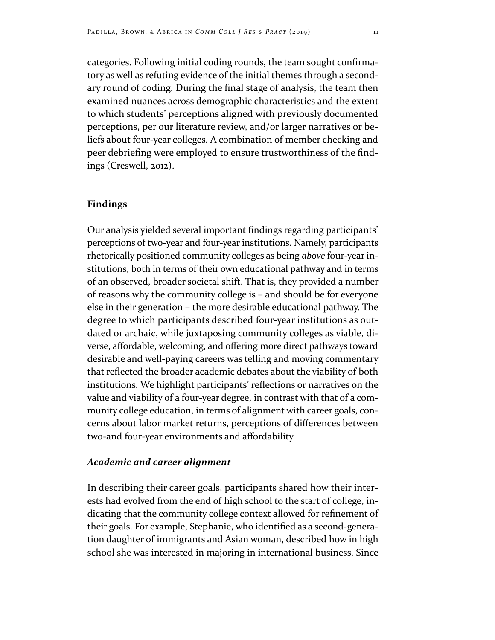categories. Following initial coding rounds, the team sought confirmatory as well as refuting evidence of the initial themes through a secondary round of coding. During the final stage of analysis, the team then examined nuances across demographic characteristics and the extent to which students' perceptions aligned with previously documented perceptions, per our literature review, and/or larger narratives or beliefs about four-year colleges. A combination of member checking and peer debriefing were employed to ensure trustworthiness of the findings (Creswell, 2012).

#### **Findings**

Our analysis yielded several important findings regarding participants' perceptions of two-year and four-year institutions. Namely, participants rhetorically positioned community colleges as being *above* four-year institutions, both in terms of their own educational pathway and in terms of an observed, broader societal shift. That is, they provided a number of reasons why the community college is – and should be for everyone else in their generation – the more desirable educational pathway. The degree to which participants described four-year institutions as outdated or archaic, while juxtaposing community colleges as viable, diverse, affordable, welcoming, and offering more direct pathways toward desirable and well-paying careers was telling and moving commentary that reflected the broader academic debates about the viability of both institutions. We highlight participants' reflections or narratives on the value and viability of a four-year degree, in contrast with that of a community college education, in terms of alignment with career goals, concerns about labor market returns, perceptions of differences between two-and four-year environments and affordability.

#### *Academic and career alignment*

In describing their career goals, participants shared how their interests had evolved from the end of high school to the start of college, indicating that the community college context allowed for refinement of their goals. For example, Stephanie, who identified as a second-generation daughter of immigrants and Asian woman, described how in high school she was interested in majoring in international business. Since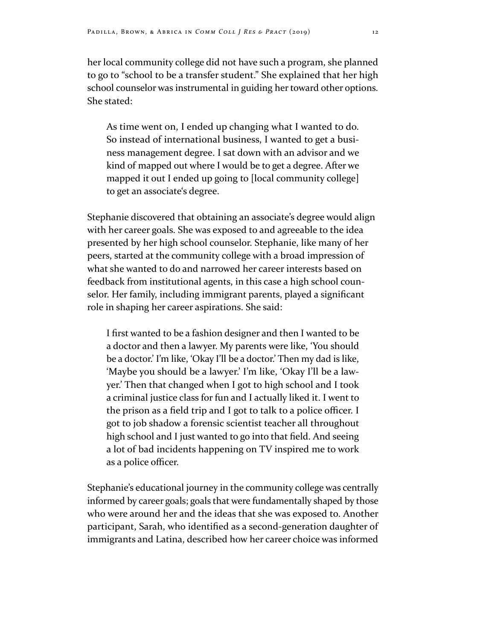her local community college did not have such a program, she planned to go to "school to be a transfer student." She explained that her high school counselor was instrumental in guiding her toward other options. She stated:

As time went on, I ended up changing what I wanted to do. So instead of international business, I wanted to get a business management degree. I sat down with an advisor and we kind of mapped out where I would be to get a degree. After we mapped it out I ended up going to [local community college] to get an associate's degree.

Stephanie discovered that obtaining an associate's degree would align with her career goals. She was exposed to and agreeable to the idea presented by her high school counselor. Stephanie, like many of her peers, started at the community college with a broad impression of what she wanted to do and narrowed her career interests based on feedback from institutional agents, in this case a high school counselor. Her family, including immigrant parents, played a significant role in shaping her career aspirations. She said:

I first wanted to be a fashion designer and then I wanted to be a doctor and then a lawyer. My parents were like, 'You should be a doctor.' I'm like, 'Okay I'll be a doctor.' Then my dad is like, 'Maybe you should be a lawyer.' I'm like, 'Okay I'll be a lawyer.' Then that changed when I got to high school and I took a criminal justice class for fun and I actually liked it. I went to the prison as a field trip and I got to talk to a police officer. I got to job shadow a forensic scientist teacher all throughout high school and I just wanted to go into that field. And seeing a lot of bad incidents happening on TV inspired me to work as a police officer.

Stephanie's educational journey in the community college was centrally informed by career goals; goals that were fundamentally shaped by those who were around her and the ideas that she was exposed to. Another participant, Sarah, who identified as a second-generation daughter of immigrants and Latina, described how her career choice was informed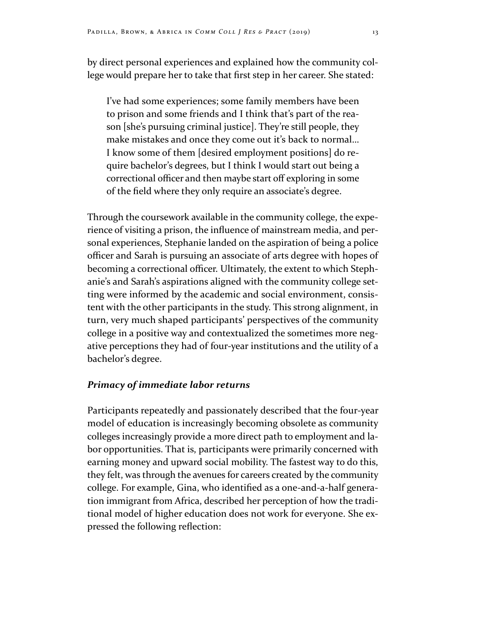by direct personal experiences and explained how the community college would prepare her to take that first step in her career. She stated:

I've had some experiences; some family members have been to prison and some friends and I think that's part of the reason [she's pursuing criminal justice]. They're still people, they make mistakes and once they come out it's back to normal... I know some of them [desired employment positions] do require bachelor's degrees, but I think I would start out being a correctional officer and then maybe start off exploring in some of the field where they only require an associate's degree.

Through the coursework available in the community college, the experience of visiting a prison, the influence of mainstream media, and personal experiences, Stephanie landed on the aspiration of being a police officer and Sarah is pursuing an associate of arts degree with hopes of becoming a correctional officer. Ultimately, the extent to which Stephanie's and Sarah's aspirations aligned with the community college setting were informed by the academic and social environment, consistent with the other participants in the study. This strong alignment, in turn, very much shaped participants' perspectives of the community college in a positive way and contextualized the sometimes more negative perceptions they had of four-year institutions and the utility of a bachelor's degree.

#### *Primacy of immediate labor returns*

Participants repeatedly and passionately described that the four-year model of education is increasingly becoming obsolete as community colleges increasingly provide a more direct path to employment and labor opportunities. That is, participants were primarily concerned with earning money and upward social mobility. The fastest way to do this, they felt, was through the avenues for careers created by the community college. For example, Gina, who identified as a one-and-a-half generation immigrant from Africa, described her perception of how the traditional model of higher education does not work for everyone. She expressed the following reflection: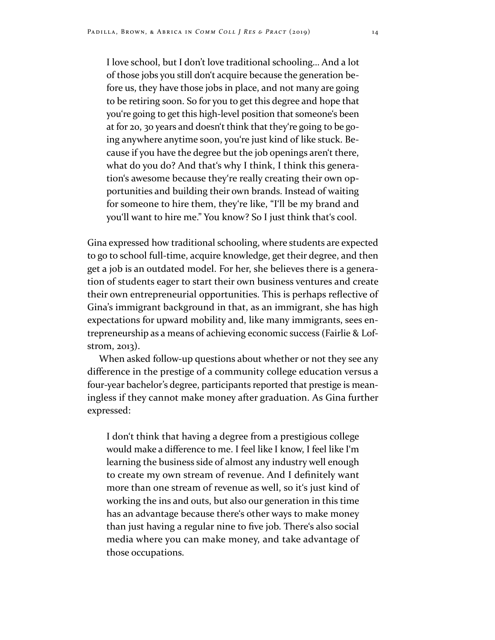I love school, but I don't love traditional schooling… And a lot of those jobs you still don't acquire because the generation before us, they have those jobs in place, and not many are going to be retiring soon. So for you to get this degree and hope that you're going to get this high-level position that someone's been at for 20, 30 years and doesn't think that they're going to be going anywhere anytime soon, you're just kind of like stuck. Because if you have the degree but the job openings aren't there, what do you do? And that's why I think, I think this generation's awesome because they're really creating their own opportunities and building their own brands. Instead of waiting for someone to hire them, they're like, "I'll be my brand and you'll want to hire me." You know? So I just think that's cool.

Gina expressed how traditional schooling, where students are expected to go to school full-time, acquire knowledge, get their degree, and then get a job is an outdated model. For her, she believes there is a generation of students eager to start their own business ventures and create their own entrepreneurial opportunities. This is perhaps reflective of Gina's immigrant background in that, as an immigrant, she has high expectations for upward mobility and, like many immigrants, sees entrepreneurship as a means of achieving economic success (Fairlie & Lofstrom, 2013).

When asked follow-up questions about whether or not they see any difference in the prestige of a community college education versus a four-year bachelor's degree, participants reported that prestige is meaningless if they cannot make money after graduation. As Gina further expressed:

I don't think that having a degree from a prestigious college would make a difference to me. I feel like I know, I feel like I'm learning the business side of almost any industry well enough to create my own stream of revenue. And I definitely want more than one stream of revenue as well, so it's just kind of working the ins and outs, but also our generation in this time has an advantage because there's other ways to make money than just having a regular nine to five job. There's also social media where you can make money, and take advantage of those occupations.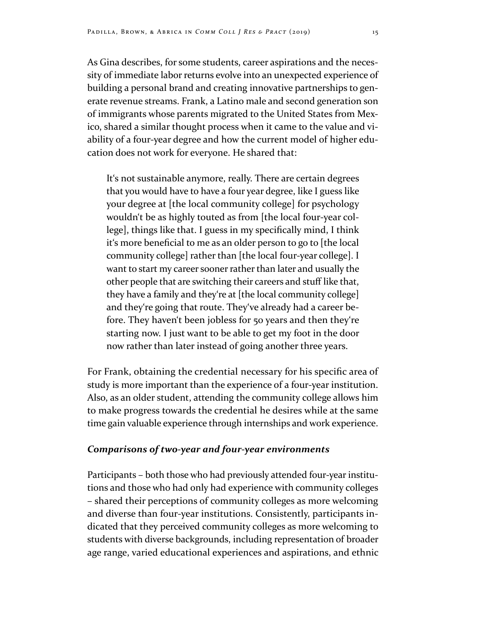As Gina describes, for some students, career aspirations and the necessity of immediate labor returns evolve into an unexpected experience of building a personal brand and creating innovative partnerships to generate revenue streams. Frank, a Latino male and second generation son of immigrants whose parents migrated to the United States from Mexico, shared a similar thought process when it came to the value and viability of a four-year degree and how the current model of higher education does not work for everyone. He shared that:

It's not sustainable anymore, really. There are certain degrees that you would have to have a four year degree, like I guess like your degree at [the local community college] for psychology wouldn't be as highly touted as from [the local four-year college], things like that. I guess in my specifically mind, I think it's more beneficial to me as an older person to go to [the local community college] rather than [the local four-year college]. I want to start my career sooner rather than later and usually the other people that are switching their careers and stuff like that, they have a family and they're at [the local community college] and they're going that route. They've already had a career before. They haven't been jobless for 50 years and then they're starting now. I just want to be able to get my foot in the door now rather than later instead of going another three years.

For Frank, obtaining the credential necessary for his specific area of study is more important than the experience of a four-year institution. Also, as an older student, attending the community college allows him to make progress towards the credential he desires while at the same time gain valuable experience through internships and work experience.

### *Comparisons of two-year and four-year environments*

Participants – both those who had previously attended four-year institutions and those who had only had experience with community colleges – shared their perceptions of community colleges as more welcoming and diverse than four-year institutions. Consistently, participants indicated that they perceived community colleges as more welcoming to students with diverse backgrounds, including representation of broader age range, varied educational experiences and aspirations, and ethnic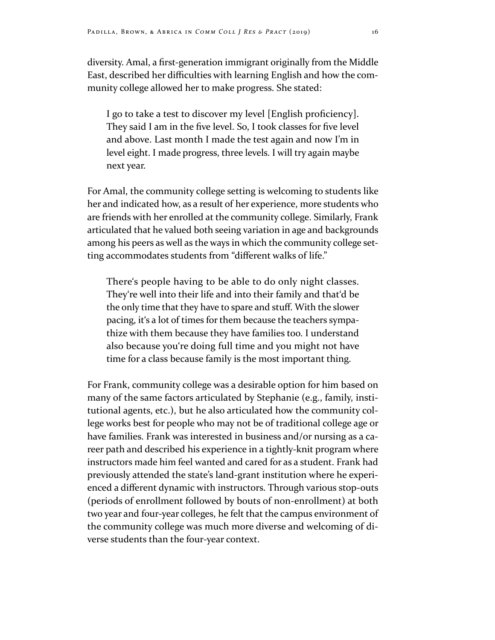diversity. Amal, a first-generation immigrant originally from the Middle East, described her difficulties with learning English and how the community college allowed her to make progress. She stated:

I go to take a test to discover my level [English proficiency]. They said I am in the five level. So, I took classes for five level and above. Last month I made the test again and now I'm in level eight. I made progress, three levels. I will try again maybe next year.

For Amal, the community college setting is welcoming to students like her and indicated how, as a result of her experience, more students who are friends with her enrolled at the community college. Similarly, Frank articulated that he valued both seeing variation in age and backgrounds among his peers as well as the ways in which the community college setting accommodates students from "different walks of life."

There's people having to be able to do only night classes. They're well into their life and into their family and that'd be the only time that they have to spare and stuff. With the slower pacing, it's a lot of times for them because the teachers sympathize with them because they have families too. I understand also because you're doing full time and you might not have time for a class because family is the most important thing.

For Frank, community college was a desirable option for him based on many of the same factors articulated by Stephanie (e.g., family, institutional agents, etc.), but he also articulated how the community college works best for people who may not be of traditional college age or have families. Frank was interested in business and/or nursing as a career path and described his experience in a tightly-knit program where instructors made him feel wanted and cared for as a student. Frank had previously attended the state's land-grant institution where he experienced a different dynamic with instructors. Through various stop-outs (periods of enrollment followed by bouts of non-enrollment) at both two year and four-year colleges, he felt that the campus environment of the community college was much more diverse and welcoming of diverse students than the four-year context.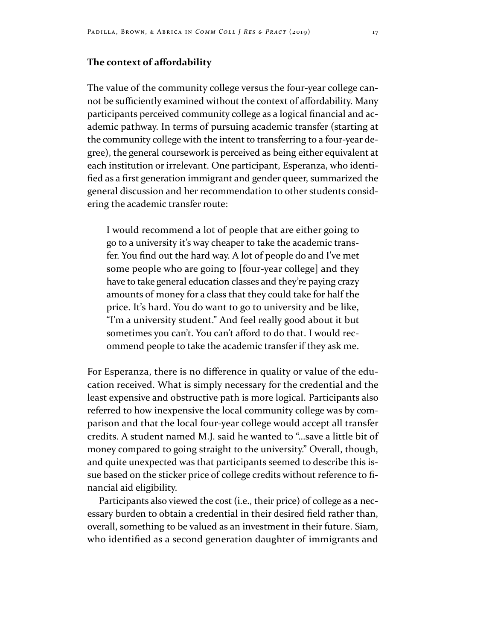#### **The context of affordability**

The value of the community college versus the four-year college cannot be sufficiently examined without the context of affordability. Many participants perceived community college as a logical financial and academic pathway. In terms of pursuing academic transfer (starting at the community college with the intent to transferring to a four-year degree), the general coursework is perceived as being either equivalent at each institution or irrelevant. One participant, Esperanza, who identified as a first generation immigrant and gender queer, summarized the general discussion and her recommendation to other students considering the academic transfer route:

I would recommend a lot of people that are either going to go to a university it's way cheaper to take the academic transfer. You find out the hard way. A lot of people do and I've met some people who are going to [four-year college] and they have to take general education classes and they're paying crazy amounts of money for a class that they could take for half the price. It's hard. You do want to go to university and be like, "I'm a university student." And feel really good about it but sometimes you can't. You can't afford to do that. I would recommend people to take the academic transfer if they ask me.

For Esperanza, there is no difference in quality or value of the education received. What is simply necessary for the credential and the least expensive and obstructive path is more logical. Participants also referred to how inexpensive the local community college was by comparison and that the local four-year college would accept all transfer credits. A student named M.J. said he wanted to "…save a little bit of money compared to going straight to the university." Overall, though, and quite unexpected was that participants seemed to describe this issue based on the sticker price of college credits without reference to financial aid eligibility.

Participants also viewed the cost (i.e., their price) of college as a necessary burden to obtain a credential in their desired field rather than, overall, something to be valued as an investment in their future. Siam, who identified as a second generation daughter of immigrants and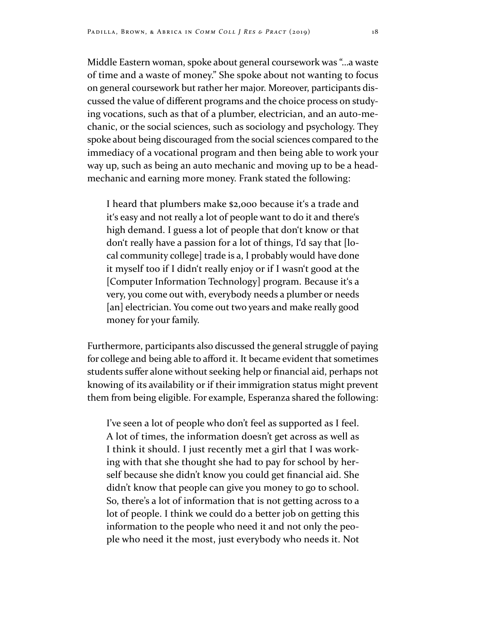Middle Eastern woman, spoke about general coursework was "…a waste of time and a waste of money." She spoke about not wanting to focus on general coursework but rather her major. Moreover, participants discussed the value of different programs and the choice process on studying vocations, such as that of a plumber, electrician, and an auto-mechanic, or the social sciences, such as sociology and psychology. They spoke about being discouraged from the social sciences compared to the immediacy of a vocational program and then being able to work your way up, such as being an auto mechanic and moving up to be a headmechanic and earning more money. Frank stated the following:

I heard that plumbers make \$2,000 because it's a trade and it's easy and not really a lot of people want to do it and there's high demand. I guess a lot of people that don't know or that don't really have a passion for a lot of things, I'd say that [local community college] trade is a, I probably would have done it myself too if I didn't really enjoy or if I wasn't good at the [Computer Information Technology] program. Because it's a very, you come out with, everybody needs a plumber or needs [an] electrician. You come out two years and make really good money for your family.

Furthermore, participants also discussed the general struggle of paying for college and being able to afford it. It became evident that sometimes students suffer alone without seeking help or financial aid, perhaps not knowing of its availability or if their immigration status might prevent them from being eligible. For example, Esperanza shared the following:

I've seen a lot of people who don't feel as supported as I feel. A lot of times, the information doesn't get across as well as I think it should. I just recently met a girl that I was working with that she thought she had to pay for school by herself because she didn't know you could get financial aid. She didn't know that people can give you money to go to school. So, there's a lot of information that is not getting across to a lot of people. I think we could do a better job on getting this information to the people who need it and not only the people who need it the most, just everybody who needs it. Not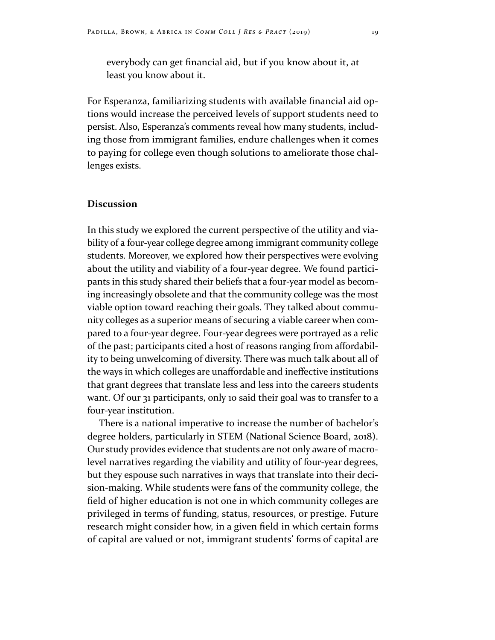everybody can get financial aid, but if you know about it, at least you know about it.

For Esperanza, familiarizing students with available financial aid options would increase the perceived levels of support students need to persist. Also, Esperanza's comments reveal how many students, including those from immigrant families, endure challenges when it comes to paying for college even though solutions to ameliorate those challenges exists.

#### **Discussion**

In this study we explored the current perspective of the utility and viability of a four-year college degree among immigrant community college students. Moreover, we explored how their perspectives were evolving about the utility and viability of a four-year degree. We found participants in this study shared their beliefs that a four-year model as becoming increasingly obsolete and that the community college was the most viable option toward reaching their goals. They talked about community colleges as a superior means of securing a viable career when compared to a four-year degree. Four-year degrees were portrayed as a relic of the past; participants cited a host of reasons ranging from affordability to being unwelcoming of diversity. There was much talk about all of the ways in which colleges are unaffordable and ineffective institutions that grant degrees that translate less and less into the careers students want. Of our 31 participants, only 10 said their goal was to transfer to a four-year institution.

There is a national imperative to increase the number of bachelor's degree holders, particularly in STEM (National Science Board, 2018). Our study provides evidence that students are not only aware of macrolevel narratives regarding the viability and utility of four-year degrees, but they espouse such narratives in ways that translate into their decision-making. While students were fans of the community college, the field of higher education is not one in which community colleges are privileged in terms of funding, status, resources, or prestige. Future research might consider how, in a given field in which certain forms of capital are valued or not, immigrant students' forms of capital are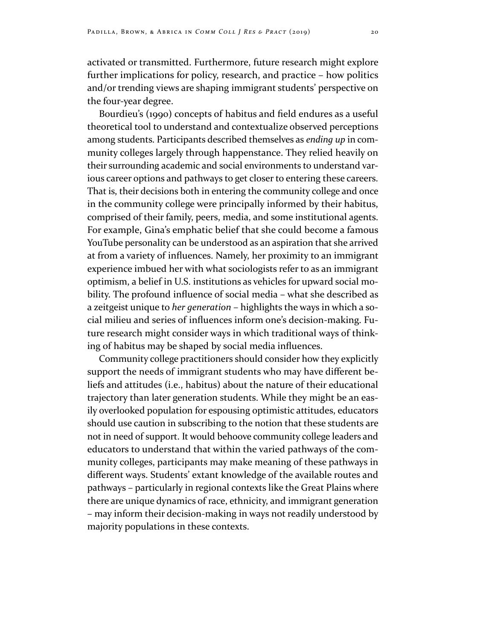activated or transmitted. Furthermore, future research might explore further implications for policy, research, and practice – how politics and/or trending views are shaping immigrant students' perspective on the four-year degree.

Bourdieu's (1990) concepts of habitus and field endures as a useful theoretical tool to understand and contextualize observed perceptions among students. Participants described themselves as *ending up* in community colleges largely through happenstance. They relied heavily on their surrounding academic and social environments to understand various career options and pathways to get closer to entering these careers. That is, their decisions both in entering the community college and once in the community college were principally informed by their habitus, comprised of their family, peers, media, and some institutional agents. For example, Gina's emphatic belief that she could become a famous YouTube personality can be understood as an aspiration that she arrived at from a variety of influences. Namely, her proximity to an immigrant experience imbued her with what sociologists refer to as an immigrant optimism, a belief in U.S. institutions as vehicles for upward social mobility. The profound influence of social media – what she described as a zeitgeist unique to *her generation* – highlights the ways in which a social milieu and series of influences inform one's decision-making. Future research might consider ways in which traditional ways of thinking of habitus may be shaped by social media influences.

Community college practitioners should consider how they explicitly support the needs of immigrant students who may have different beliefs and attitudes (i.e., habitus) about the nature of their educational trajectory than later generation students. While they might be an easily overlooked population for espousing optimistic attitudes, educators should use caution in subscribing to the notion that these students are not in need of support. It would behoove community college leaders and educators to understand that within the varied pathways of the community colleges, participants may make meaning of these pathways in different ways. Students' extant knowledge of the available routes and pathways – particularly in regional contexts like the Great Plains where there are unique dynamics of race, ethnicity, and immigrant generation – may inform their decision-making in ways not readily understood by majority populations in these contexts.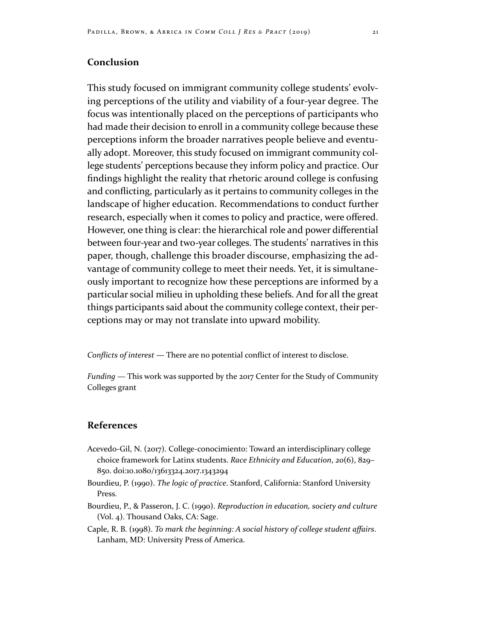## **Conclusion**

This study focused on immigrant community college students' evolving perceptions of the utility and viability of a four-year degree. The focus was intentionally placed on the perceptions of participants who had made their decision to enroll in a community college because these perceptions inform the broader narratives people believe and eventually adopt. Moreover, this study focused on immigrant community college students' perceptions because they inform policy and practice. Our findings highlight the reality that rhetoric around college is confusing and conflicting, particularly as it pertains to community colleges in the landscape of higher education. Recommendations to conduct further research, especially when it comes to policy and practice, were offered. However, one thing is clear: the hierarchical role and power differential between four-year and two-year colleges. The students' narratives in this paper, though, challenge this broader discourse, emphasizing the advantage of community college to meet their needs. Yet, it is simultaneously important to recognize how these perceptions are informed by a particular social milieu in upholding these beliefs. And for all the great things participants said about the community college context, their perceptions may or may not translate into upward mobility.

*Conflicts of interest* — There are no potential conflict of interest to disclose.

*Funding* — This work was supported by the 2017 Center for the Study of Community Colleges grant

#### **References**

- Acevedo-Gil, N. (2017). College-conocimiento: Toward an interdisciplinary college choice framework for Latinx students. *Race Ethnicity and Education*, *20*(6), 829– 850. doi:10.1080/13613324.2017.1343294
- Bourdieu, P. (1990). *The logic of practice*. Stanford, California: Stanford University Press.
- Bourdieu, P., & Passeron, J. C. (1990). *Reproduction in education, society and culture*  (Vol. 4). Thousand Oaks, CA: Sage.
- Caple, R. B. (1998). *To mark the beginning: A social history of college student affairs*. Lanham, MD: University Press of America.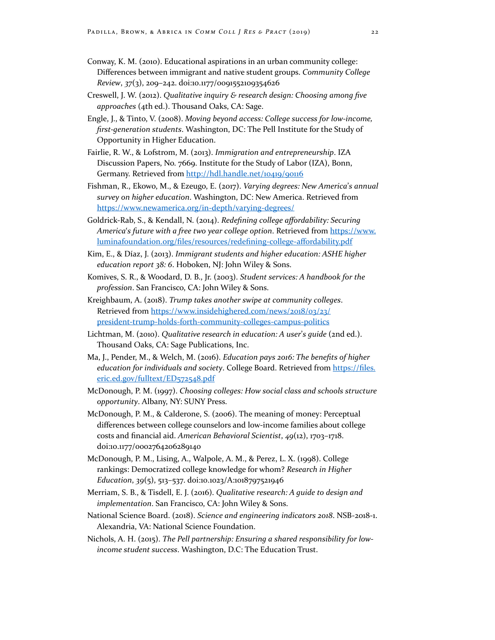- Conway, K. M. (2010). Educational aspirations in an urban community college: Differences between immigrant and native student groups. *Community College Review*, *37*(3), 209–242. doi:10.1177/0091552109354626
- Creswell, J. W. (2012). *Qualitative inquiry & research design: Choosing among five approaches* (4th ed.). Thousand Oaks, CA: Sage.
- Engle, J., & Tinto, V. (2008). *Moving beyond access: College success for low-income, first-generation students*. Washington, DC: The Pell Institute for the Study of Opportunity in Higher Education.
- Fairlie, R. W., & Lofstrom, M. (2013). *Immigration and entrepreneurship*. IZA Discussion Papers, No. 7669. Institute for the Study of Labor (IZA), Bonn, Germany. Retrieved from<http://hdl.handle.net/10419/90116>
- Fishman, R., Ekowo, M., & Ezeugo, E. (2017). *Varying degrees: New America*'*s annual survey on higher education*. Washington, DC: New America. Retrieved from <https://www.newamerica.org/in-depth/varying-degrees/>
- Goldrick-Rab, S., & Kendall, N. (2014). *Redefining college affordability: Securing America*'*s future with a free two year college option*. Retrieved from [https://www.](https://www.luminafoundation.org/files/resources/redefining-college-affordability.pdf) [luminafoundation.org/files/resources/redefining-college-affordability.pdf](https://www.luminafoundation.org/files/resources/redefining-college-affordability.pdf)
- Kim, E., & Díaz, J. (2013). *Immigrant students and higher education: ASHE higher education report 38: 6*. Hoboken, NJ: John Wiley & Sons.
- Komives, S. R., & Woodard, D. B., Jr. (2003). *Student services: A handbook for the profession*. San Francisco, CA: John Wiley & Sons.
- Kreighbaum, A. (2018). *Trump takes another swipe at community colleges*. Retrieved from [https://www.insidehighered.com/news/2018/03/23/](https://www.insidehighered.com/news/2018/03/23/president-trump-holds-forth-community-colleges-campus-politics) [president-trump-holds-forth-community-colleges-campus-politics](https://www.insidehighered.com/news/2018/03/23/president-trump-holds-forth-community-colleges-campus-politics)
- Lichtman, M. (2010). *Qualitative research in education: A user*'*s guide* (2nd ed.). Thousand Oaks, CA: Sage Publications, Inc.
- Ma, J., Pender, M., & Welch, M. (2016). *Education pays 2016: The benefits of higher education for individuals and society*. College Board. Retrieved from [https://files.](https://files.eric.ed.gov/fulltext/ED572548.pdf) eric.ed.gov/fulltext/ED572548.pdf
- McDonough, P. M. (1997). *Choosing colleges: How social class and schools structure opportunity*. Albany, NY: SUNY Press.
- McDonough, P. M., & Calderone, S. (2006). The meaning of money: Perceptual differences between college counselors and low-income families about college costs and financial aid. *American Behavioral Scientist*, *49*(12), 1703–1718. doi:10.1177/0002764206289140
- McDonough, P. M., Lising, A., Walpole, A. M., & Perez, L. X. (1998). College rankings: Democratized college knowledge for whom? *Research in Higher Education*, *39*(5), 513–537. doi:10.1023/A:1018797521946
- Merriam, S. B., & Tisdell, E. J. (2016). *Qualitative research: A guide to design and implementation*. San Francisco, CA: John Wiley & Sons.
- National Science Board. (2018). *Science and engineering indicators 2018*. NSB-2018-1. Alexandria, VA: National Science Foundation.
- Nichols, A. H. (2015). *The Pell partnership: Ensuring a shared responsibility for lowincome student success*. Washington, D.C: The Education Trust.